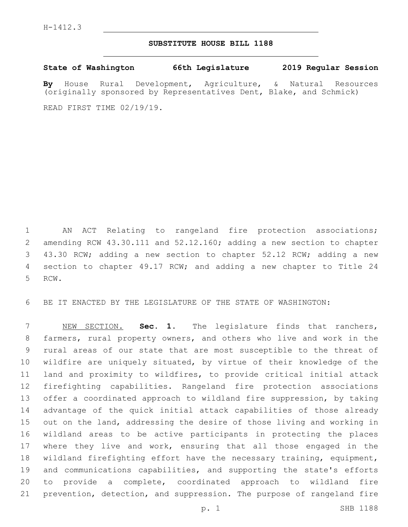## **SUBSTITUTE HOUSE BILL 1188**

**State of Washington 66th Legislature 2019 Regular Session**

**By** House Rural Development, Agriculture, & Natural Resources (originally sponsored by Representatives Dent, Blake, and Schmick)

READ FIRST TIME 02/19/19.

 AN ACT Relating to rangeland fire protection associations; amending RCW 43.30.111 and 52.12.160; adding a new section to chapter 43.30 RCW; adding a new section to chapter 52.12 RCW; adding a new section to chapter 49.17 RCW; and adding a new chapter to Title 24 5 RCW.

BE IT ENACTED BY THE LEGISLATURE OF THE STATE OF WASHINGTON:

 NEW SECTION. **Sec. 1.** The legislature finds that ranchers, farmers, rural property owners, and others who live and work in the rural areas of our state that are most susceptible to the threat of wildfire are uniquely situated, by virtue of their knowledge of the land and proximity to wildfires, to provide critical initial attack firefighting capabilities. Rangeland fire protection associations 13 offer a coordinated approach to wildland fire suppression, by taking advantage of the quick initial attack capabilities of those already out on the land, addressing the desire of those living and working in wildland areas to be active participants in protecting the places where they live and work, ensuring that all those engaged in the wildland firefighting effort have the necessary training, equipment, and communications capabilities, and supporting the state's efforts to provide a complete, coordinated approach to wildland fire prevention, detection, and suppression. The purpose of rangeland fire

p. 1 SHB 1188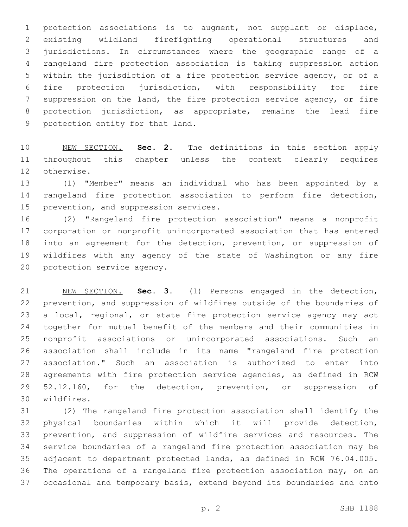protection associations is to augment, not supplant or displace, existing wildland firefighting operational structures and jurisdictions. In circumstances where the geographic range of a rangeland fire protection association is taking suppression action within the jurisdiction of a fire protection service agency, or of a fire protection jurisdiction, with responsibility for fire suppression on the land, the fire protection service agency, or fire protection jurisdiction, as appropriate, remains the lead fire 9 protection entity for that land.

 NEW SECTION. **Sec. 2.** The definitions in this section apply throughout this chapter unless the context clearly requires otherwise.

 (1) "Member" means an individual who has been appointed by a rangeland fire protection association to perform fire detection, 15 prevention, and suppression services.

 (2) "Rangeland fire protection association" means a nonprofit corporation or nonprofit unincorporated association that has entered into an agreement for the detection, prevention, or suppression of wildfires with any agency of the state of Washington or any fire 20 protection service agency.

 NEW SECTION. **Sec. 3.** (1) Persons engaged in the detection, prevention, and suppression of wildfires outside of the boundaries of 23 a local, regional, or state fire protection service agency may act together for mutual benefit of the members and their communities in nonprofit associations or unincorporated associations. Such an association shall include in its name "rangeland fire protection association." Such an association is authorized to enter into agreements with fire protection service agencies, as defined in RCW 29 52.12.160, for the detection, prevention, or suppression of wildfires.

 (2) The rangeland fire protection association shall identify the physical boundaries within which it will provide detection, prevention, and suppression of wildfire services and resources. The service boundaries of a rangeland fire protection association may be adjacent to department protected lands, as defined in RCW 76.04.005. The operations of a rangeland fire protection association may, on an occasional and temporary basis, extend beyond its boundaries and onto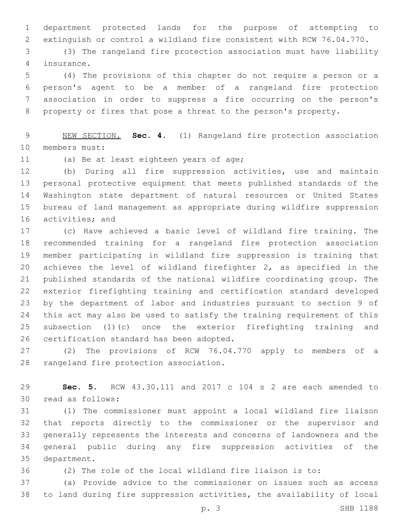department protected lands for the purpose of attempting to extinguish or control a wildland fire consistent with RCW 76.04.770.

 (3) The rangeland fire protection association must have liability insurance.4

 (4) The provisions of this chapter do not require a person or a person's agent to be a member of a rangeland fire protection association in order to suppress a fire occurring on the person's property or fires that pose a threat to the person's property.

 NEW SECTION. **Sec. 4.** (1) Rangeland fire protection association members must:

11 (a) Be at least eighteen years of age;

 (b) During all fire suppression activities, use and maintain personal protective equipment that meets published standards of the Washington state department of natural resources or United States bureau of land management as appropriate during wildfire suppression 16 activities; and

 (c) Have achieved a basic level of wildland fire training. The recommended training for a rangeland fire protection association member participating in wildland fire suppression is training that achieves the level of wildland firefighter 2, as specified in the published standards of the national wildfire coordinating group. The exterior firefighting training and certification standard developed by the department of labor and industries pursuant to section 9 of this act may also be used to satisfy the training requirement of this subsection (1)(c) once the exterior firefighting training and 26 certification standard has been adopted.

 (2) The provisions of RCW 76.04.770 apply to members of a 28 rangeland fire protection association.

 **Sec. 5.** RCW 43.30.111 and 2017 c 104 s 2 are each amended to 30 read as follows:

 (1) The commissioner must appoint a local wildland fire liaison that reports directly to the commissioner or the supervisor and generally represents the interests and concerns of landowners and the general public during any fire suppression activities of the 35 department.

(2) The role of the local wildland fire liaison is to:

 (a) Provide advice to the commissioner on issues such as access to land during fire suppression activities, the availability of local

p. 3 SHB 1188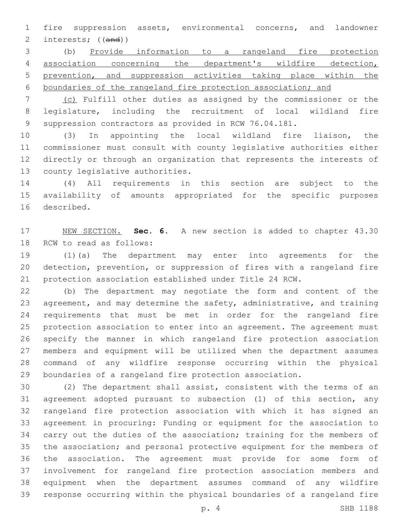fire suppression assets, environmental concerns, and landowner interests; ((and))

 (b) Provide information to a rangeland fire protection association concerning the department's wildfire detection, prevention, and suppression activities taking place within the boundaries of the rangeland fire protection association; and

 (c) Fulfill other duties as assigned by the commissioner or the legislature, including the recruitment of local wildland fire suppression contractors as provided in RCW 76.04.181.

 (3) In appointing the local wildland fire liaison, the commissioner must consult with county legislative authorities either directly or through an organization that represents the interests of 13 county legislative authorities.

 (4) All requirements in this section are subject to the availability of amounts appropriated for the specific purposes 16 described.

 NEW SECTION. **Sec. 6.** A new section is added to chapter 43.30 18 RCW to read as follows:

 (1)(a) The department may enter into agreements for the detection, prevention, or suppression of fires with a rangeland fire protection association established under Title 24 RCW.

 (b) The department may negotiate the form and content of the agreement, and may determine the safety, administrative, and training requirements that must be met in order for the rangeland fire protection association to enter into an agreement. The agreement must specify the manner in which rangeland fire protection association members and equipment will be utilized when the department assumes command of any wildfire response occurring within the physical boundaries of a rangeland fire protection association.

 (2) The department shall assist, consistent with the terms of an agreement adopted pursuant to subsection (1) of this section, any rangeland fire protection association with which it has signed an agreement in procuring: Funding or equipment for the association to carry out the duties of the association; training for the members of the association; and personal protective equipment for the members of the association. The agreement must provide for some form of involvement for rangeland fire protection association members and equipment when the department assumes command of any wildfire response occurring within the physical boundaries of a rangeland fire

p. 4 SHB 1188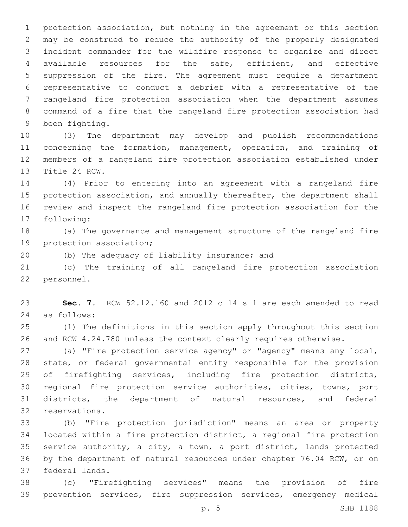protection association, but nothing in the agreement or this section may be construed to reduce the authority of the properly designated incident commander for the wildfire response to organize and direct available resources for the safe, efficient, and effective suppression of the fire. The agreement must require a department representative to conduct a debrief with a representative of the rangeland fire protection association when the department assumes command of a fire that the rangeland fire protection association had 9 been fighting.

 (3) The department may develop and publish recommendations 11 concerning the formation, management, operation, and training of members of a rangeland fire protection association established under 13 Title 24 RCW.

 (4) Prior to entering into an agreement with a rangeland fire 15 protection association, and annually thereafter, the department shall review and inspect the rangeland fire protection association for the 17 following:

 (a) The governance and management structure of the rangeland fire 19 protection association;

20 (b) The adequacy of liability insurance; and

 (c) The training of all rangeland fire protection association 22 personnel.

 **Sec. 7.** RCW 52.12.160 and 2012 c 14 s 1 are each amended to read as follows:24

 (1) The definitions in this section apply throughout this section and RCW 4.24.780 unless the context clearly requires otherwise.

 (a) "Fire protection service agency" or "agency" means any local, state, or federal governmental entity responsible for the provision of firefighting services, including fire protection districts, regional fire protection service authorities, cities, towns, port districts, the department of natural resources, and federal 32 reservations.

 (b) "Fire protection jurisdiction" means an area or property located within a fire protection district, a regional fire protection service authority, a city, a town, a port district, lands protected by the department of natural resources under chapter 76.04 RCW, or on 37 federal lands.

 (c) "Firefighting services" means the provision of fire prevention services, fire suppression services, emergency medical

p. 5 SHB 1188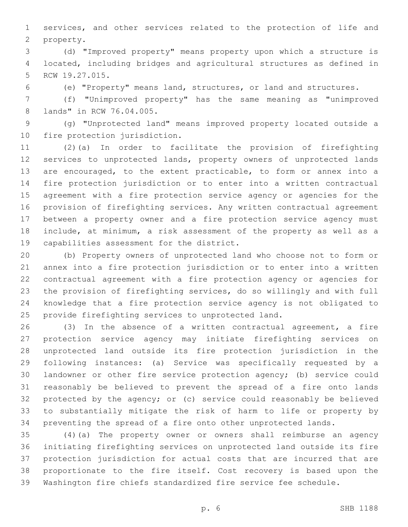services, and other services related to the protection of life and 2 property.

 (d) "Improved property" means property upon which a structure is located, including bridges and agricultural structures as defined in 5 RCW 19.27.015.

(e) "Property" means land, structures, or land and structures.

 (f) "Unimproved property" has the same meaning as "unimproved 8 lands" in RCW 76.04.005.

 (g) "Unprotected land" means improved property located outside a 10 fire protection jurisdiction.

 (2)(a) In order to facilitate the provision of firefighting services to unprotected lands, property owners of unprotected lands are encouraged, to the extent practicable, to form or annex into a fire protection jurisdiction or to enter into a written contractual agreement with a fire protection service agency or agencies for the provision of firefighting services. Any written contractual agreement between a property owner and a fire protection service agency must include, at minimum, a risk assessment of the property as well as a 19 capabilities assessment for the district.

 (b) Property owners of unprotected land who choose not to form or annex into a fire protection jurisdiction or to enter into a written contractual agreement with a fire protection agency or agencies for the provision of firefighting services, do so willingly and with full knowledge that a fire protection service agency is not obligated to provide firefighting services to unprotected land.

 (3) In the absence of a written contractual agreement, a fire protection service agency may initiate firefighting services on unprotected land outside its fire protection jurisdiction in the following instances: (a) Service was specifically requested by a landowner or other fire service protection agency; (b) service could reasonably be believed to prevent the spread of a fire onto lands protected by the agency; or (c) service could reasonably be believed to substantially mitigate the risk of harm to life or property by preventing the spread of a fire onto other unprotected lands.

 (4)(a) The property owner or owners shall reimburse an agency initiating firefighting services on unprotected land outside its fire protection jurisdiction for actual costs that are incurred that are proportionate to the fire itself. Cost recovery is based upon the Washington fire chiefs standardized fire service fee schedule.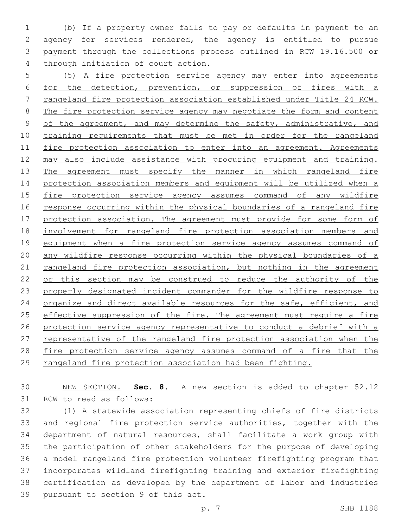(b) If a property owner fails to pay or defaults in payment to an agency for services rendered, the agency is entitled to pursue payment through the collections process outlined in RCW 19.16.500 or 4 through initiation of court action.

5 (5) A fire protection service agency may enter into agreements 6 for the detection, prevention, or suppression of fires with a 7 rangeland fire protection association established under Title 24 RCW. 8 The fire protection service agency may negotiate the form and content 9 of the agreement, and may determine the safety, administrative, and 10 training requirements that must be met in order for the rangeland 11 fire protection association to enter into an agreement. Agreements 12 may also include assistance with procuring equipment and training. 13 The agreement must specify the manner in which rangeland fire 14 protection association members and equipment will be utilized when a 15 fire protection service agency assumes command of any wildfire 16 response occurring within the physical boundaries of a rangeland fire 17 protection association. The agreement must provide for some form of 18 involvement for rangeland fire protection association members and 19 equipment when a fire protection service agency assumes command of 20 any wildfire response occurring within the physical boundaries of a 21 rangeland fire protection association, but nothing in the agreement 22 or this section may be construed to reduce the authority of the 23 properly designated incident commander for the wildfire response to 24 organize and direct available resources for the safe, efficient, and 25 effective suppression of the fire. The agreement must require a fire 26 protection service agency representative to conduct a debrief with a 27 representative of the rangeland fire protection association when the 28 fire protection service agency assumes command of a fire that the 29 rangeland fire protection association had been fighting.

30 NEW SECTION. **Sec. 8.** A new section is added to chapter 52.12 31 RCW to read as follows:

 (1) A statewide association representing chiefs of fire districts and regional fire protection service authorities, together with the department of natural resources, shall facilitate a work group with the participation of other stakeholders for the purpose of developing a model rangeland fire protection volunteer firefighting program that incorporates wildland firefighting training and exterior firefighting certification as developed by the department of labor and industries 39 pursuant to section 9 of this act.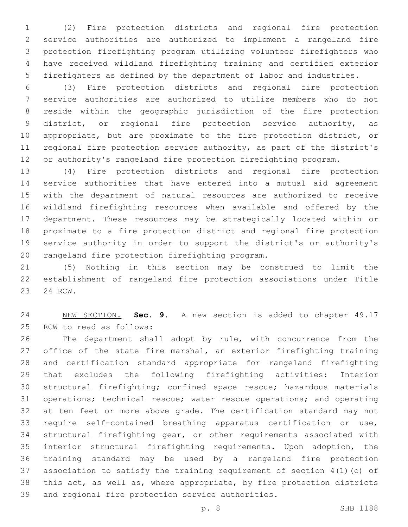(2) Fire protection districts and regional fire protection service authorities are authorized to implement a rangeland fire protection firefighting program utilizing volunteer firefighters who have received wildland firefighting training and certified exterior firefighters as defined by the department of labor and industries.

 (3) Fire protection districts and regional fire protection service authorities are authorized to utilize members who do not reside within the geographic jurisdiction of the fire protection district, or regional fire protection service authority, as appropriate, but are proximate to the fire protection district, or regional fire protection service authority, as part of the district's or authority's rangeland fire protection firefighting program.

 (4) Fire protection districts and regional fire protection service authorities that have entered into a mutual aid agreement with the department of natural resources are authorized to receive wildland firefighting resources when available and offered by the department. These resources may be strategically located within or proximate to a fire protection district and regional fire protection service authority in order to support the district's or authority's 20 rangeland fire protection firefighting program.

 (5) Nothing in this section may be construed to limit the establishment of rangeland fire protection associations under Title 23 24 RCW.

 NEW SECTION. **Sec. 9.** A new section is added to chapter 49.17 25 RCW to read as follows:

 The department shall adopt by rule, with concurrence from the office of the state fire marshal, an exterior firefighting training and certification standard appropriate for rangeland firefighting that excludes the following firefighting activities: Interior structural firefighting; confined space rescue; hazardous materials operations; technical rescue; water rescue operations; and operating at ten feet or more above grade. The certification standard may not require self-contained breathing apparatus certification or use, structural firefighting gear, or other requirements associated with interior structural firefighting requirements. Upon adoption, the training standard may be used by a rangeland fire protection association to satisfy the training requirement of section 4(1)(c) of this act, as well as, where appropriate, by fire protection districts 39 and regional fire protection service authorities.